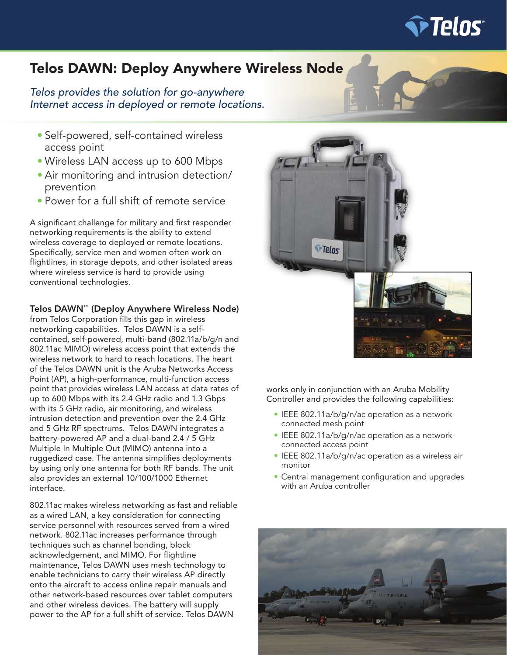

### Telos DAWN: Deploy Anywhere Wireless Node

*Telos provides the solution for go-anywhere Internet access in deployed or remote locations.*

- Self-powered, self-contained wireless access point
- Wireless LAN access up to 600 Mbps
- Air monitoring and intrusion detection/ prevention
- Power for a full shift of remote service

A significant challenge for military and first responder networking requirements is the ability to extend wireless coverage to deployed or remote locations. Specifically, service men and women often work on flightlines, in storage depots, and other isolated areas where wireless service is hard to provide using conventional technologies.

Telos DAWN™ (Deploy Anywhere Wireless Node)

from Telos Corporation fills this gap in wireless networking capabilities. Telos DAWN is a selfcontained, self-powered, multi-band (802.11a/b/g/n and 802.11ac MIMO) wireless access point that extends the wireless network to hard to reach locations. The heart of the Telos DAWN unit is the Aruba Networks Access Point (AP), a high-performance, multi-function access point that provides wireless LAN access at data rates of up to 600 Mbps with its 2.4 GHz radio and 1.3 Gbps with its 5 GHz radio, air monitoring, and wireless intrusion detection and prevention over the 2.4 GHz and 5 GHz RF spectrums. Telos DAWN integrates a battery-powered AP and a dual-band 2.4 / 5 GHz Multiple In Multiple Out (MIMO) antenna into a ruggedized case. The antenna simplifies deployments by using only one antenna for both RF bands. The unit also provides an external 10/100/1000 Ethernet interface.

802.11ac makes wireless networking as fast and reliable as a wired LAN, a key consideration for connecting service personnel with resources served from a wired network. 802.11ac increases performance through techniques such as channel bonding, block acknowledgement, and MIMO. For flightline maintenance, Telos DAWN uses mesh technology to enable technicians to carry their wireless AP directly onto the aircraft to access online repair manuals and other network-based resources over tablet computers and other wireless devices. The battery will supply power to the AP for a full shift of service. Telos DAWN



works only in conjunction with an Aruba Mobility Controller and provides the following capabilities:

- IEEE 802.11a/b/g/n/ac operation as a networkconnected mesh point
- IEEE 802.11a/b/g/n/ac operation as a networkconnected access point
- IEEE 802.11a/b/g/n/ac operation as a wireless air monitor
- Central management configuration and upgrades with an Aruba controller